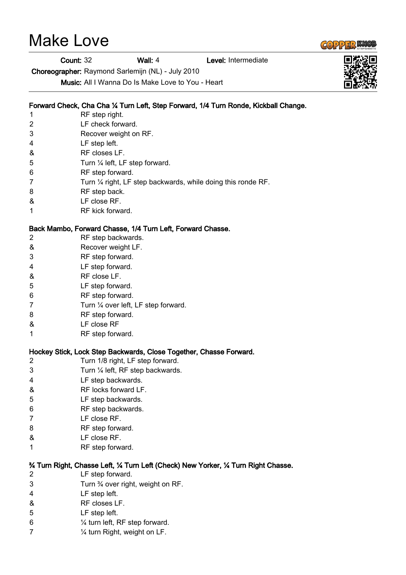# Make Love

Count: 32 Wall: 4 Level: Intermediate

Choreographer: Raymond Sarlemijn (NL) - July 2010

Music: All I Wanna Do Is Make Love to You - Heart

## Forward Check, Cha Cha ¼ Turn Left, Step Forward, 1/4 Turn Ronde, Kickball Change.

- 1 RF step right.
- 2 LF check forward.
- 3 Recover weight on RF.
- 4 LF step left.
- & RF closes LF.
- 5 Turn 1/4 left, LF step forward.
- 6 RF step forward.
- 7 Turn 1/4 right, LF step backwards, while doing this ronde RF.
- 8 RF step back.
- & LF close RF.
- 1 RF kick forward.

#### Back Mambo, Forward Chasse, 1/4 Turn Left, Forward Chasse.

- 2 RF step backwards.
- & Recover weight LF.
- 3 RF step forward.
- 4 LF step forward.
- & RF close LF.
- 5 LF step forward.
- 6 RF step forward.
- 7 Turn 1/4 over left, LF step forward.
- 8 RF step forward.
- & LF close RF
- 1 RF step forward.

## Hockey Stick, Lock Step Backwards, Close Together, Chasse Forward.

- 2 Turn 1/8 right, LF step forward.
- 3 Turn ¼ left, RF step backwards.
- 4 LF step backwards.
- & RF locks forward LF.
- 5 LF step backwards.
- 6 RF step backwards.
- 7 LF close RF.
- 8 RF step forward.
- & LF close RF.
- 1 RF step forward.

#### ¾ Turn Right, Chasse Left, ¼ Turn Left (Check) New Yorker, ¼ Turn Right Chasse.

- 2 LF step forward.
- 3 Turn ¾ over right, weight on RF.
- 4 LF step left.
- & RF closes LF.
- 5 LF step left.
- 6 ¼ turn left, RF step forward.
- 7 ¼ turn Right, weight on LF.